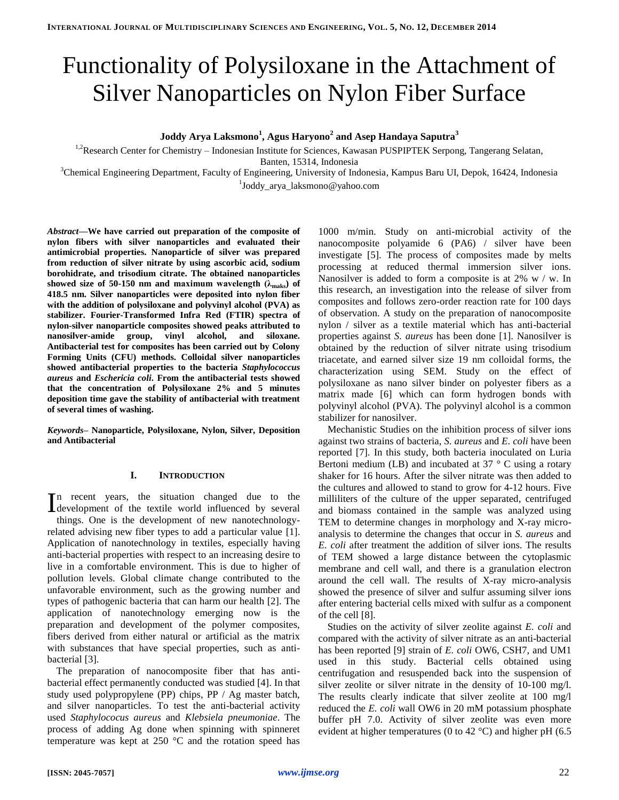# Functionality of Polysiloxane in the Attachment of Silver Nanoparticles on Nylon Fiber Surface

**Joddy Arya Laksmono<sup>1</sup> , Agus Haryono<sup>2</sup> and Asep Handaya Saputra<sup>3</sup>**

<sup>1,2</sup>Research Center for Chemistry – Indonesian Institute for Sciences, Kawasan PUSPIPTEK Serpong, Tangerang Selatan,

Banten, 15314, Indonesia

<sup>3</sup>Chemical Engineering Department, Faculty of Engineering, University of Indonesia, Kampus Baru UI, Depok, 16424, Indonesia 1 Joddy\_arya\_laksmono@yahoo.com

*Abstract***—We have carried out preparation of the composite of nylon fibers with silver nanoparticles and evaluated their antimicrobial properties. Nanoparticle of silver was prepared from reduction of silver nitrate by using ascorbic acid, sodium borohidrate, and trisodium citrate. The obtained nanoparticles**  showed size of 50-150 nm and maximum wavelength  $(\lambda_{\text{maks}})$  of **418.5 nm. Silver nanoparticles were deposited into nylon fiber with the addition of polysiloxane and polyvinyl alcohol (PVA) as stabilizer. Fourier-Transformed Infra Red (FTIR) spectra of nylon-silver nanoparticle composites showed peaks attributed to nanosilver-amide group, vinyl alcohol, and siloxane. Antibacterial test for composites has been carried out by Colony Forming Units (CFU) methods. Colloidal silver nanoparticles showed antibacterial properties to the bacteria** *Staphylococcus aureus* **and** *Eschericia coli***. From the antibacterial tests showed that the concentration of Polysiloxane 2% and 5 minutes deposition time gave the stability of antibacterial with treatment of several times of washing.** 

*Keywords–* **Nanoparticle, Polysiloxane, Nylon, Silver, Deposition and Antibacterial**

# **I. INTRODUCTION**

n recent years, the situation changed due to the In recent years, the situation changed due to the development of the textile world influenced by several things. One is the development of new nanotechnologyrelated advising new fiber types to add a particular value [1]. Application of nanotechnology in textiles, especially having anti-bacterial properties with respect to an increasing desire to live in a comfortable environment. This is due to higher of pollution levels. Global climate change contributed to the unfavorable environment, such as the growing number and types of pathogenic bacteria that can harm our health [2]. The application of nanotechnology emerging now is the preparation and development of the polymer composites, fibers derived from either natural or artificial as the matrix with substances that have special properties, such as antibacterial [3].

The preparation of nanocomposite fiber that has antibacterial effect permanently conducted was studied [4]. In that study used polypropylene (PP) chips, PP / Ag master batch, and silver nanoparticles. To test the anti-bacterial activity used *Staphylococus aureus* and *Klebsiela pneumoniae*. The process of adding Ag done when spinning with spinneret temperature was kept at 250 °C and the rotation speed has

1000 m/min. Study on anti-microbial activity of the nanocomposite polyamide 6 (PA6) / silver have been investigate [5]. The process of composites made by melts processing at reduced thermal immersion silver ions. Nanosilver is added to form a composite is at 2% w / w. In this research, an investigation into the release of silver from composites and follows zero-order reaction rate for 100 days of observation. A study on the preparation of nanocomposite nylon / silver as a textile material which has anti-bacterial properties against *S. aureus* has been done [1]. Nanosilver is obtained by the reduction of silver nitrate using trisodium triacetate, and earned silver size 19 nm colloidal forms, the characterization using SEM. Study on the effect of polysiloxane as nano silver binder on polyester fibers as a matrix made [6] which can form hydrogen bonds with polyvinyl alcohol (PVA). The polyvinyl alcohol is a common stabilizer for nanosilver.

Mechanistic Studies on the inhibition process of silver ions against two strains of bacteria, *S. aureus* and *E. coli* have been reported [7]. In this study, both bacteria inoculated on Luria Bertoni medium (LB) and incubated at  $37 \degree$  C using a rotary shaker for 16 hours. After the silver nitrate was then added to the cultures and allowed to stand to grow for 4-12 hours. Five milliliters of the culture of the upper separated, centrifuged and biomass contained in the sample was analyzed using TEM to determine changes in morphology and X-ray microanalysis to determine the changes that occur in *S. aureus* and *E. coli* after treatment the addition of silver ions. The results of TEM showed a large distance between the cytoplasmic membrane and cell wall, and there is a granulation electron around the cell wall. The results of X-ray micro-analysis showed the presence of silver and sulfur assuming silver ions after entering bacterial cells mixed with sulfur as a component of the cell [8].

Studies on the activity of silver zeolite against *E. coli* and compared with the activity of silver nitrate as an anti-bacterial has been reported [9] strain of *E. coli* OW6, CSH7, and UM1 used in this study. Bacterial cells obtained using centrifugation and resuspended back into the suspension of silver zeolite or silver nitrate in the density of 10-100 mg/l. The results clearly indicate that silver zeolite at 100 mg/l reduced the *E. coli* wall OW6 in 20 mM potassium phosphate buffer pH 7.0. Activity of silver zeolite was even more evident at higher temperatures (0 to 42 °C) and higher pH (6.5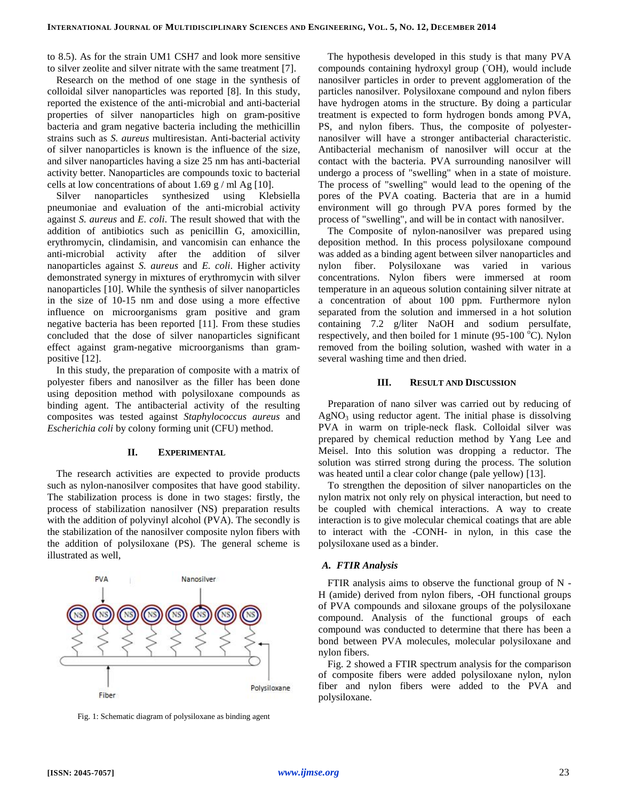to 8.5). As for the strain UM1 CSH7 and look more sensitive to silver zeolite and silver nitrate with the same treatment [7].

Research on the method of one stage in the synthesis of colloidal silver nanoparticles was reported [8]. In this study, reported the existence of the anti-microbial and anti-bacterial properties of silver nanoparticles high on gram-positive bacteria and gram negative bacteria including the methicillin strains such as *S. aureus* multiresistan. Anti-bacterial activity of silver nanoparticles is known is the influence of the size, and silver nanoparticles having a size 25 nm has anti-bacterial activity better. Nanoparticles are compounds toxic to bacterial cells at low concentrations of about 1.69 g / ml Ag [10].

Silver nanoparticles synthesized using Klebsiella pneumoniae and evaluation of the anti-microbial activity against *S. aureus* and *E. coli*. The result showed that with the addition of antibiotics such as penicillin G, amoxicillin, erythromycin, clindamisin, and vancomisin can enhance the anti-microbial activity after the addition of silver nanoparticles against *S. aureus* and *E. coli*. Higher activity demonstrated synergy in mixtures of erythromycin with silver nanoparticles [10]. While the synthesis of silver nanoparticles in the size of 10-15 nm and dose using a more effective influence on microorganisms gram positive and gram negative bacteria has been reported [11]. From these studies concluded that the dose of silver nanoparticles significant effect against gram-negative microorganisms than grampositive [12].

In this study, the preparation of composite with a matrix of polyester fibers and nanosilver as the filler has been done using deposition method with polysiloxane compounds as binding agent. The antibacterial activity of the resulting composites was tested against *Staphylococcus aureus* and *Escherichia coli* by colony forming unit (CFU) method.

#### **II. EXPERIMENTAL**

The research activities are expected to provide products such as nylon-nanosilver composites that have good stability. The stabilization process is done in two stages: firstly, the process of stabilization nanosilver (NS) preparation results with the addition of polyvinyl alcohol (PVA). The secondly is the stabilization of the nanosilver composite nylon fibers with the addition of polysiloxane (PS). The general scheme is illustrated as well,



Fig. 1: Schematic diagram of polysiloxane as binding agent

The hypothesis developed in this study is that many PVA compounds containing hydroxyl group (OH), would include nanosilver particles in order to prevent agglomeration of the particles nanosilver. Polysiloxane compound and nylon fibers have hydrogen atoms in the structure. By doing a particular treatment is expected to form hydrogen bonds among PVA, PS, and nylon fibers. Thus, the composite of polyesternanosilver will have a stronger antibacterial characteristic. Antibacterial mechanism of nanosilver will occur at the contact with the bacteria. PVA surrounding nanosilver will undergo a process of "swelling" when in a state of moisture. The process of "swelling" would lead to the opening of the pores of the PVA coating. Bacteria that are in a humid environment will go through PVA pores formed by the process of "swelling", and will be in contact with nanosilver.

The Composite of nylon-nanosilver was prepared using deposition method. In this process polysiloxane compound was added as a binding agent between silver nanoparticles and nylon fiber. Polysiloxane was varied in various concentrations. Nylon fibers were immersed at room temperature in an aqueous solution containing silver nitrate at a concentration of about 100 ppm. Furthermore nylon separated from the solution and immersed in a hot solution containing 7.2 g/liter NaOH and sodium persulfate, respectively, and then boiled for 1 minute (95-100  $^{\circ}$ C). Nylon removed from the boiling solution, washed with water in a several washing time and then dried.

## **III. RESULT AND DISCUSSION**

Preparation of nano silver was carried out by reducing of  $AgNO<sub>3</sub>$  using reductor agent. The initial phase is dissolving PVA in warm on triple-neck flask. Colloidal silver was prepared by chemical reduction method by Yang Lee and Meisel. Into this solution was dropping a reductor. The solution was stirred strong during the process. The solution was heated until a clear color change (pale yellow) [13].

To strengthen the deposition of silver nanoparticles on the nylon matrix not only rely on physical interaction, but need to be coupled with chemical interactions. A way to create interaction is to give molecular chemical coatings that are able to interact with the -CONH- in nylon, in this case the polysiloxane used as a binder.

#### *A. FTIR Analysis*

FTIR analysis aims to observe the functional group of N - H (amide) derived from nylon fibers, -OH functional groups of PVA compounds and siloxane groups of the polysiloxane compound. Analysis of the functional groups of each compound was conducted to determine that there has been a bond between PVA molecules, molecular polysiloxane and nylon fibers.

Fig. 2 showed a FTIR spectrum analysis for the comparison of composite fibers were added polysiloxane nylon, nylon fiber and nylon fibers were added to the PVA and polysiloxane.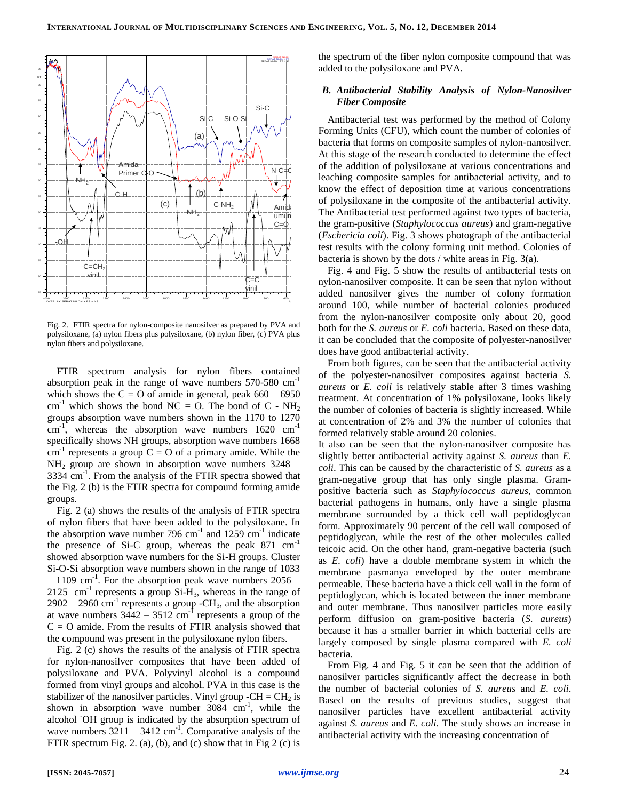

Fig. 2. FTIR spectra for nylon-composite nanosilver as prepared by PVA and polysiloxane, (a) nylon fibers plus polysiloxane, (b) nylon fiber, (c) PVA plus nylon fibers and polysiloxane.

FTIR spectrum analysis for nylon fibers contained absorption peak in the range of wave numbers  $570-580$   $cm^{-1}$ which shows the  $C = O$  of amide in general, peak  $660 - 6950$ cm<sup>-1</sup> which shows the bond NC = O. The bond of C - NH<sub>2</sub> groups absorption wave numbers shown in the 1170 to 1270  $\text{cm}^{-1}$ , whereas the absorption wave numbers 1620  $\text{cm}^{-1}$ specifically shows NH groups, absorption wave numbers 1668  $cm^{-1}$  represents a group  $C = O$  of a primary amide. While the  $NH<sub>2</sub>$  group are shown in absorption wave numbers 3248 –  $3334$  cm<sup>-1</sup>. From the analysis of the FTIR spectra showed that the Fig. 2 (b) is the FTIR spectra for compound forming amide groups.

Fig. 2 (a) shows the results of the analysis of FTIR spectra of nylon fibers that have been added to the polysiloxane. In the absorption wave number 796 cm<sup>-1</sup> and 1259 cm<sup>-1</sup> indicate the presence of Si-C group, whereas the peak  $871 \text{ cm}^{-1}$ showed absorption wave numbers for the Si-H groups. Cluster Si-O-Si absorption wave numbers shown in the range of 1033  $-1109$  cm<sup>-1</sup>. For the absorption peak wave numbers 2056 –  $2125$  cm<sup>-1</sup> represents a group Si-H<sub>3</sub>, whereas in the range of  $2902 - 2960$  cm<sup>-1</sup> represents a group -CH<sub>3</sub>, and the absorption at wave numbers  $3442 - 3512$  cm<sup>-1</sup> represents a group of the  $C = O$  amide. From the results of FTIR analysis showed that the compound was present in the polysiloxane nylon fibers.

Fig. 2 (c) shows the results of the analysis of FTIR spectra for nylon-nanosilver composites that have been added of polysiloxane and PVA. Polyvinyl alcohol is a compound formed from vinyl groups and alcohol. PVA in this case is the stabilizer of the nanosilver particles. Vinyl group  $-CH = CH_2$  is shown in absorption wave number  $3084 \text{ cm}^{-1}$ , while the alcohol -OH group is indicated by the absorption spectrum of wave numbers  $3211 - 3412$  cm<sup>-1</sup>. Comparative analysis of the FTIR spectrum Fig. 2. (a), (b), and (c) show that in Fig 2 (c) is

the spectrum of the fiber nylon composite compound that was added to the polysiloxane and PVA.

## *B. Antibacterial Stability Analysis of Nylon-Nanosilver Fiber Composite*

Antibacterial test was performed by the method of Colony Forming Units (CFU), which count the number of colonies of bacteria that forms on composite samples of nylon-nanosilver. At this stage of the research conducted to determine the effect of the addition of polysiloxane at various concentrations and leaching composite samples for antibacterial activity, and to know the effect of deposition time at various concentrations of polysiloxane in the composite of the antibacterial activity. The Antibacterial test performed against two types of bacteria, the gram-positive (*Staphylococcus aureus*) and gram-negative (*Eschericia coli*). Fig. 3 shows photograph of the antibacterial test results with the colony forming unit method. Colonies of bacteria is shown by the dots / white areas in Fig. 3(a).

Fig. 4 and Fig. 5 show the results of antibacterial tests on nylon-nanosilver composite. It can be seen that nylon without added nanosilver gives the number of colony formation around 100, while number of bacterial colonies produced from the nylon-nanosilver composite only about 20, good both for the *S. aureus* or *E. coli* bacteria. Based on these data, it can be concluded that the composite of polyester-nanosilver does have good antibacterial activity.

From both figures, can be seen that the antibacterial activity of the polyester-nanosilver composites against bacteria *S. aureus* or *E. coli* is relatively stable after 3 times washing treatment. At concentration of 1% polysiloxane, looks likely the number of colonies of bacteria is slightly increased. While at concentration of 2% and 3% the number of colonies that formed relatively stable around 20 colonies.

It also can be seen that the nylon-nanosilver composite has slightly better antibacterial activity against *S. aureus* than *E. coli*. This can be caused by the characteristic of *S. aureus* as a gram-negative group that has only single plasma. Grampositive bacteria such as *Staphylococcus aureus*, common bacterial pathogens in humans, only have a single plasma membrane surrounded by a thick cell wall peptidoglycan form. Approximately 90 percent of the cell wall composed of peptidoglycan, while the rest of the other molecules called teicoic acid. On the other hand, gram-negative bacteria (such as *E. coli*) have a double membrane system in which the membrane pasmanya enveloped by the outer membrane permeable. These bacteria have a thick cell wall in the form of peptidoglycan, which is located between the inner membrane and outer membrane. Thus nanosilver particles more easily perform diffusion on gram-positive bacteria (*S. aureus*) because it has a smaller barrier in which bacterial cells are largely composed by single plasma compared with *E. coli* bacteria.

From Fig. 4 and Fig. 5 it can be seen that the addition of nanosilver particles significantly affect the decrease in both the number of bacterial colonies of *S. aureus* and *E. coli*. Based on the results of previous studies, suggest that nanosilver particles have excellent antibacterial activity against *S. aureus* and *E. coli*. The study shows an increase in antibacterial activity with the increasing concentration of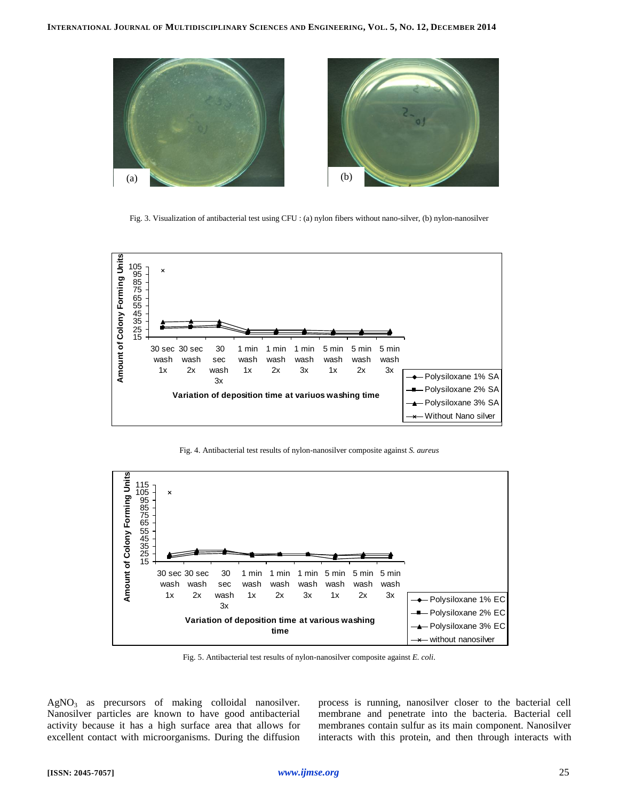

Fig. 3. Visualization of antibacterial test using CFU : (a) nylon fibers without nano-silver, (b) nylon-nanosilver



Fig. 4. Antibacterial test results of nylon-nanosilver composite against *S. aureus*



Fig. 5. Antibacterial test results of nylon-nanosilver composite against *E. coli*.

AgNO<sub>3</sub> as precursors of making colloidal nanosilver. Nanosilver particles are known to have good antibacterial activity because it has a high surface area that allows for excellent contact with microorganisms. During the diffusion process is running, nanosilver closer to the bacterial cell membrane and penetrate into the bacteria. Bacterial cell membranes contain sulfur as its main component. Nanosilver interacts with this protein, and then through interacts with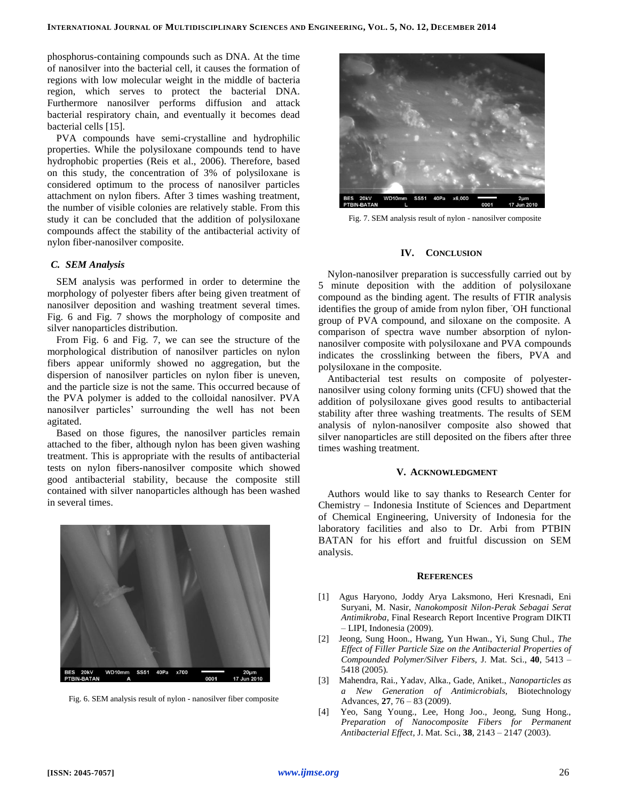phosphorus-containing compounds such as DNA. At the time of nanosilver into the bacterial cell, it causes the formation of regions with low molecular weight in the middle of bacteria region, which serves to protect the bacterial DNA. Furthermore nanosilver performs diffusion and attack bacterial respiratory chain, and eventually it becomes dead bacterial cells [15].

PVA compounds have semi-crystalline and hydrophilic properties. While the polysiloxane compounds tend to have hydrophobic properties (Reis et al., 2006). Therefore, based on this study, the concentration of 3% of polysiloxane is considered optimum to the process of nanosilver particles attachment on nylon fibers. After 3 times washing treatment, the number of visible colonies are relatively stable. From this study it can be concluded that the addition of polysiloxane compounds affect the stability of the antibacterial activity of nylon fiber-nanosilver composite.

## *C. SEM Analysis*

SEM analysis was performed in order to determine the morphology of polyester fibers after being given treatment of nanosilver deposition and washing treatment several times. Fig. 6 and Fig. 7 shows the morphology of composite and silver nanoparticles distribution.

From Fig. 6 and Fig. 7, we can see the structure of the morphological distribution of nanosilver particles on nylon fibers appear uniformly showed no aggregation, but the dispersion of nanosilver particles on nylon fiber is uneven, and the particle size is not the same. This occurred because of the PVA polymer is added to the colloidal nanosilver. PVA nanosilver particles' surrounding the well has not been agitated.

Based on those figures, the nanosilver particles remain attached to the fiber, although nylon has been given washing treatment. This is appropriate with the results of antibacterial tests on nylon fibers-nanosilver composite which showed good antibacterial stability, because the composite still contained with silver nanoparticles although has been washed in several times.



Fig. 6. SEM analysis result of nylon - nanosilver fiber composite



Fig. 7. SEM analysis result of nylon - nanosilver composite

#### **IV. CONCLUSION**

Nylon-nanosilver preparation is successfully carried out by 5 minute deposition with the addition of polysiloxane compound as the binding agent. The results of FTIR analysis identifies the group of amide from nylon fiber, <sup>OH</sup> functional group of PVA compound, and siloxane on the composite. A comparison of spectra wave number absorption of nylonnanosilver composite with polysiloxane and PVA compounds indicates the crosslinking between the fibers, PVA and polysiloxane in the composite.

Antibacterial test results on composite of polyesternanosilver using colony forming units (CFU) showed that the addition of polysiloxane gives good results to antibacterial stability after three washing treatments. The results of SEM analysis of nylon-nanosilver composite also showed that silver nanoparticles are still deposited on the fibers after three times washing treatment.

# **V. ACKNOWLEDGMENT**

Authors would like to say thanks to Research Center for Chemistry – Indonesia Institute of Sciences and Department of Chemical Engineering, University of Indonesia for the laboratory facilities and also to Dr. Arbi from PTBIN BATAN for his effort and fruitful discussion on SEM analysis.

#### **REFERENCES**

- [1] Agus Haryono, Joddy Arya Laksmono, Heri Kresnadi, Eni Suryani, M. Nasir, *Nanokomposit Nilon-Perak Sebagai Serat Antimikroba*, Final Research Report Incentive Program DIKTI – LIPI, Indonesia (2009).
- [2] Jeong, Sung Hoon., Hwang, Yun Hwan., Yi, Sung Chul., *The Effect of Filler Particle Size on the Antibacterial Properties of Compounded Polymer/Silver Fibers,* J. Mat. Sci., **40**, 5413 – 5418 (2005).
- [3] Mahendra, Rai., Yadav, Alka., Gade, Aniket., *Nanoparticles as a New Generation of Antimicrobials,* Biotechnology Advances, **27**, 76 – 83 (2009).
- [4] Yeo, Sang Young., Lee, Hong Joo., Jeong, Sung Hong., *Preparation of Nanocomposite Fibers for Permanent Antibacterial Effect*, J. Mat. Sci., **38**, 2143 – 2147 (2003).